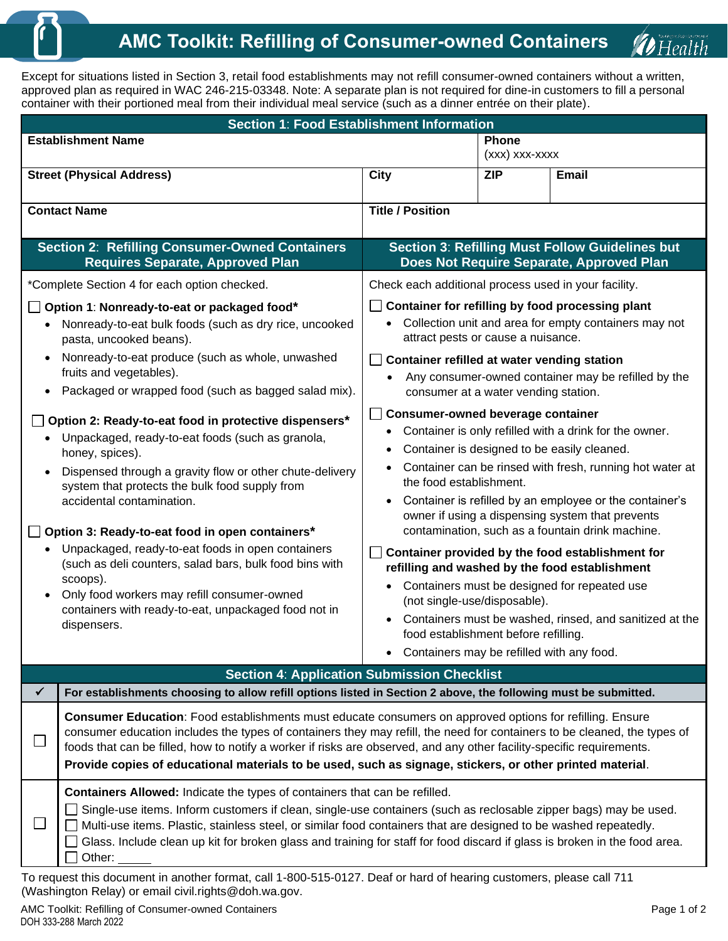Except for situations listed in Section 3, retail food establishments may not refill consumer-owned containers without a written, approved plan as required in WAC 246-215-03348. Note: A separate plan is not required for dine-in customers to fill a personal container with their portioned meal from their individual meal service (such as a dinner entrée on their plate).

| Section 1: Food Establishment Information                                                                                                                                                                                                                                                                                                                                                                                                                                                                                                                                                                                                                                                                                                                                                                                                                            |                                                                                                                                                                                                                                                                                                                                                                                                                                                                                                                                                                                                                                                                                                                                                                                                                                                                                                                                                                                                        |                                |              |  |
|----------------------------------------------------------------------------------------------------------------------------------------------------------------------------------------------------------------------------------------------------------------------------------------------------------------------------------------------------------------------------------------------------------------------------------------------------------------------------------------------------------------------------------------------------------------------------------------------------------------------------------------------------------------------------------------------------------------------------------------------------------------------------------------------------------------------------------------------------------------------|--------------------------------------------------------------------------------------------------------------------------------------------------------------------------------------------------------------------------------------------------------------------------------------------------------------------------------------------------------------------------------------------------------------------------------------------------------------------------------------------------------------------------------------------------------------------------------------------------------------------------------------------------------------------------------------------------------------------------------------------------------------------------------------------------------------------------------------------------------------------------------------------------------------------------------------------------------------------------------------------------------|--------------------------------|--------------|--|
| <b>Establishment Name</b>                                                                                                                                                                                                                                                                                                                                                                                                                                                                                                                                                                                                                                                                                                                                                                                                                                            |                                                                                                                                                                                                                                                                                                                                                                                                                                                                                                                                                                                                                                                                                                                                                                                                                                                                                                                                                                                                        | <b>Phone</b><br>(xxx) xxx-xxxx |              |  |
| <b>Street (Physical Address)</b>                                                                                                                                                                                                                                                                                                                                                                                                                                                                                                                                                                                                                                                                                                                                                                                                                                     | City                                                                                                                                                                                                                                                                                                                                                                                                                                                                                                                                                                                                                                                                                                                                                                                                                                                                                                                                                                                                   | <b>ZIP</b>                     | <b>Email</b> |  |
| <b>Contact Name</b>                                                                                                                                                                                                                                                                                                                                                                                                                                                                                                                                                                                                                                                                                                                                                                                                                                                  | <b>Title / Position</b>                                                                                                                                                                                                                                                                                                                                                                                                                                                                                                                                                                                                                                                                                                                                                                                                                                                                                                                                                                                |                                |              |  |
| <b>Section 2: Refilling Consumer-Owned Containers</b><br><b>Requires Separate, Approved Plan</b>                                                                                                                                                                                                                                                                                                                                                                                                                                                                                                                                                                                                                                                                                                                                                                     | Section 3: Refilling Must Follow Guidelines but<br>Does Not Require Separate, Approved Plan                                                                                                                                                                                                                                                                                                                                                                                                                                                                                                                                                                                                                                                                                                                                                                                                                                                                                                            |                                |              |  |
| *Complete Section 4 for each option checked.                                                                                                                                                                                                                                                                                                                                                                                                                                                                                                                                                                                                                                                                                                                                                                                                                         | Check each additional process used in your facility.                                                                                                                                                                                                                                                                                                                                                                                                                                                                                                                                                                                                                                                                                                                                                                                                                                                                                                                                                   |                                |              |  |
| Option 1: Nonready-to-eat or packaged food*<br>$\perp$<br>• Nonready-to-eat bulk foods (such as dry rice, uncooked<br>pasta, uncooked beans).<br>Nonready-to-eat produce (such as whole, unwashed<br>fruits and vegetables).<br>Packaged or wrapped food (such as bagged salad mix).<br>Option 2: Ready-to-eat food in protective dispensers*<br>Unpackaged, ready-to-eat foods (such as granola,<br>honey, spices).<br>Dispensed through a gravity flow or other chute-delivery<br>system that protects the bulk food supply from<br>accidental contamination.<br>Option 3: Ready-to-eat food in open containers*<br>Unpackaged, ready-to-eat foods in open containers<br>(such as deli counters, salad bars, bulk food bins with<br>scoops).<br>Only food workers may refill consumer-owned<br>containers with ready-to-eat, unpackaged food not in<br>dispensers. | □ Container for refilling by food processing plant<br>Collection unit and area for empty containers may not<br>$\bullet$<br>attract pests or cause a nuisance.<br>Container refilled at water vending station<br>Any consumer-owned container may be refilled by the<br>consumer at a water vending station.<br><b>Consumer-owned beverage container</b><br>Container is only refilled with a drink for the owner.<br>$\bullet$<br>Container is designed to be easily cleaned.<br>Container can be rinsed with fresh, running hot water at<br>the food establishment.<br>Container is refilled by an employee or the container's<br>$\bullet$<br>owner if using a dispensing system that prevents<br>contamination, such as a fountain drink machine.<br>Container provided by the food establishment for<br>refilling and washed by the food establishment<br>Containers must be designed for repeated use<br>(not single-use/disposable).<br>Containers must be washed, rinsed, and sanitized at the |                                |              |  |
|                                                                                                                                                                                                                                                                                                                                                                                                                                                                                                                                                                                                                                                                                                                                                                                                                                                                      | Containers may be refilled with any food.<br>$\bullet$                                                                                                                                                                                                                                                                                                                                                                                                                                                                                                                                                                                                                                                                                                                                                                                                                                                                                                                                                 |                                |              |  |
| <b>Section 4: Application Submission Checklist</b><br>$\checkmark$<br>For establishments choosing to allow refill options listed in Section 2 above, the following must be submitted.                                                                                                                                                                                                                                                                                                                                                                                                                                                                                                                                                                                                                                                                                |                                                                                                                                                                                                                                                                                                                                                                                                                                                                                                                                                                                                                                                                                                                                                                                                                                                                                                                                                                                                        |                                |              |  |
| Consumer Education: Food establishments must educate consumers on approved options for refilling. Ensure<br>consumer education includes the types of containers they may refill, the need for containers to be cleaned, the types of<br>foods that can be filled, how to notify a worker if risks are observed, and any other facility-specific requirements.<br>Provide copies of educational materials to be used, such as signage, stickers, or other printed material.                                                                                                                                                                                                                                                                                                                                                                                           |                                                                                                                                                                                                                                                                                                                                                                                                                                                                                                                                                                                                                                                                                                                                                                                                                                                                                                                                                                                                        |                                |              |  |
| Containers Allowed: Indicate the types of containers that can be refilled.<br>Single-use items. Inform customers if clean, single-use containers (such as reclosable zipper bags) may be used.<br>$\Box$<br>Multi-use items. Plastic, stainless steel, or similar food containers that are designed to be washed repeatedly.<br>Glass. Include clean up kit for broken glass and training for staff for food discard if glass is broken in the food area.<br>Other:                                                                                                                                                                                                                                                                                                                                                                                                  |                                                                                                                                                                                                                                                                                                                                                                                                                                                                                                                                                                                                                                                                                                                                                                                                                                                                                                                                                                                                        |                                |              |  |

To request this document in another format, call 1-800-515-0127. Deaf or hard of hearing customers, please call 711 (Washington Relay) or email civil.rights@doh.wa.gov.

*D* Health